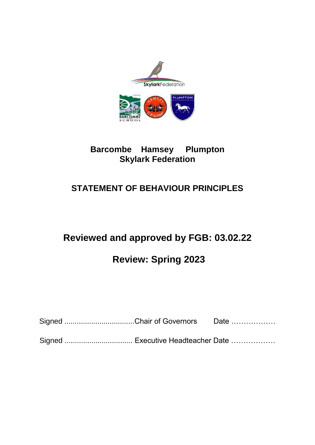

### **Barcombe Hamsey Plumpton Skylark Federation**

## **STATEMENT OF BEHAVIOUR PRINCIPLES**

# **Reviewed and approved by FGB: 03.02.22**

# **Review: Spring 2023**

| Signed Chair of Governors | Date |
|---------------------------|------|
|                           |      |

Signed ................................. Executive Headteacher Date ………………